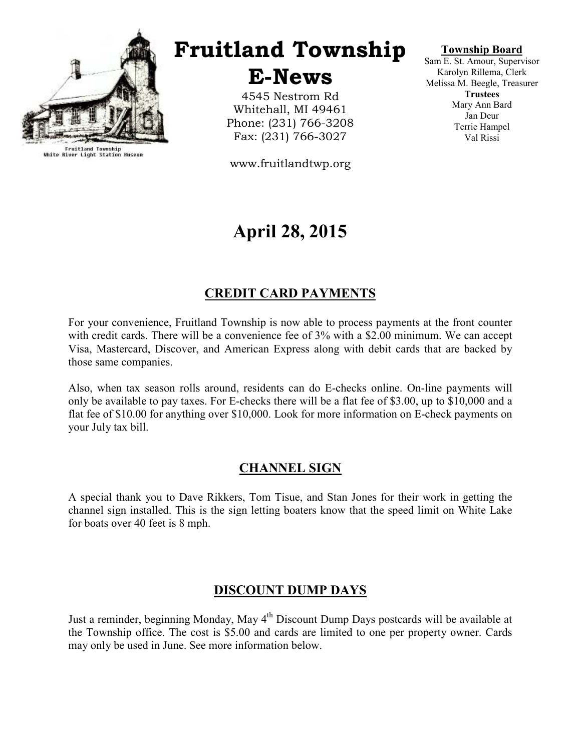

Fruitland Township<br>White River Light Station Museum

# Fruitland Township

E-News

4545 Nestrom Rd Whitehall, MI 49461 Phone: (231) 766-3208 Fax: (231) 766-3027

www.fruitlandtwp.org

## April 28, 2015

## CREDIT CARD PAYMENTS

For your convenience, Fruitland Township is now able to process payments at the front counter with credit cards. There will be a convenience fee of 3% with a \$2.00 minimum. We can accept Visa, Mastercard, Discover, and American Express along with debit cards that are backed by those same companies.

Also, when tax season rolls around, residents can do E-checks online. On-line payments will only be available to pay taxes. For E-checks there will be a flat fee of \$3.00, up to \$10,000 and a flat fee of \$10.00 for anything over \$10,000. Look for more information on E-check payments on your July tax bill.

#### CHANNEL SIGN

A special thank you to Dave Rikkers, Tom Tisue, and Stan Jones for their work in getting the channel sign installed. This is the sign letting boaters know that the speed limit on White Lake for boats over 40 feet is 8 mph.

#### DISCOUNT DUMP DAYS

Just a reminder, beginning Monday, May  $4<sup>th</sup>$  Discount Dump Days postcards will be available at the Township office. The cost is \$5.00 and cards are limited to one per property owner. Cards may only be used in June. See more information below.

#### Township Board

Sam E. St. Amour, Supervisor Karolyn Rillema, Clerk Melissa M. Beegle, Treasurer **Trustees** Mary Ann Bard Jan Deur Terrie Hampel Val Rissi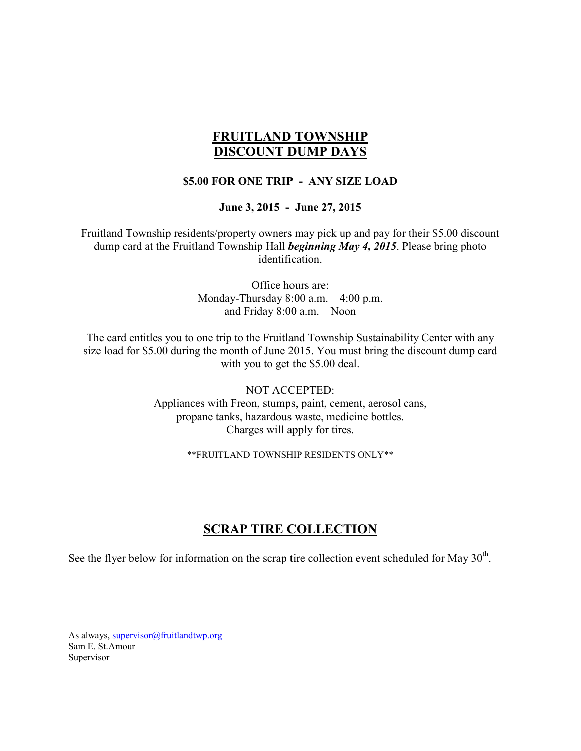## FRUITLAND TOWNSHIP DISCOUNT DUMP DAYS

#### \$5.00 FOR ONE TRIP - ANY SIZE LOAD

June 3, 2015 - June 27, 2015

Fruitland Township residents/property owners may pick up and pay for their \$5.00 discount dump card at the Fruitland Township Hall *beginning May 4, 2015*. Please bring photo identification.

> Office hours are: Monday-Thursday 8:00 a.m. – 4:00 p.m. and Friday 8:00 a.m. – Noon

The card entitles you to one trip to the Fruitland Township Sustainability Center with any size load for \$5.00 during the month of June 2015. You must bring the discount dump card with you to get the \$5.00 deal.

> NOT ACCEPTED: Appliances with Freon, stumps, paint, cement, aerosol cans, propane tanks, hazardous waste, medicine bottles. Charges will apply for tires.

> > \*\*FRUITLAND TOWNSHIP RESIDENTS ONLY\*\*

#### SCRAP TIRE COLLECTION

See the flyer below for information on the scrap tire collection event scheduled for May  $30<sup>th</sup>$ .

As always, supervisor@fruitlandtwp.org Sam E. St.Amour Supervisor